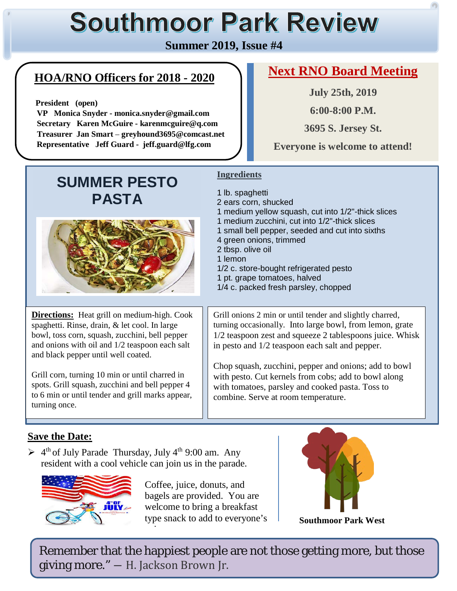# **Southmoor Park Review**

#### **Summer 2019, Issue #4**

# **HOA/RNO Officers for 2018 - 2020**

 **President (open)**

 **VP Monica Snyder - monica.snyder@gmail.com Secretary Karen McGuire - karenmcguire@q.com Treasurer Jan Smart** – **greyhound3695@comcast.net Representative Jeff Guard - jeff.guard@lfg.com**

## **Next RNO Board Meeting**

**July 25th, 2019**

**6:00-8:00 P.M.**

**3695 S. Jersey St.**

**Everyone is welcome to attend!**

# **SUMMER PESTO PASTA**



**Directions:** Heat grill on medium-high. Cook spaghetti. Rinse, drain, & let cool. In large bowl, toss corn, squash, zucchini, bell pepper and onions with oil and 1/2 teaspoon each salt and black pepper until well coated.

Grill corn, turning 10 min or until charred in spots. Grill squash, zucchini and bell pepper 4 to 6 min or until tender and grill marks appear, turning once.

#### **Ingredients**

- 1 lb. spaghetti
- 2 ears corn, shucked
- 1 medium yellow squash, cut into 1/2"-thick slices
- 1 medium zucchini, cut into 1/2"-thick slices
- 1 small bell pepper, seeded and cut into sixths
- 4 green onions, trimmed
- 2 tbsp. olive oil
- 1 lemon
- 1/2 c. store-bought refrigerated pesto
- 1 pt. grape tomatoes, halved
- 1/4 c. packed fresh parsley, chopped

Grill onions 2 min or until tender and slightly charred, turning occasionally. Into large bowl, from lemon, grate 1/2 teaspoon zest and squeeze 2 tablespoons juice. Whisk in pesto and 1/2 teaspoon each salt and pepper.

Chop squash, zucchini, pepper and onions; add to bowl with pesto. Cut kernels from cobs; add to bowl along with tomatoes, parsley and cooked pasta. Toss to combine. Serve at room temperature.

#### **Save the Date:**

 $\geq 4^{\text{th}}$  of July Parade Thursday, July 4<sup>th</sup> 9:00 am. Any resident with a cool vehicle can join us in the parade.



Coffee, juice, donuts, and bagels are provided. You are welcome to bring a breakfast type snack to add to everyone's j



**Southmoor Park West**

Remember that the happiest people are not those getting more, but those giving more." ― H. Jackson Brown Jr.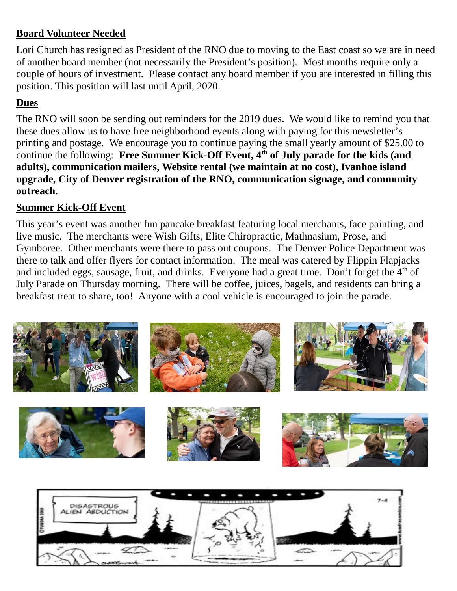#### **Board Volunteer Needed**

Lori Church has resigned as President of the RNO due to moving to the East coast so we are in need of another board member (not necessarily the President's position). Most months require only a couple of hours of investment. Please contact any board member if you are interested in filling this position. This position will last until April, 2020.

#### **Dues**

The RNO will soon be sending out reminders for the 2019 dues. We would like to remind you that these dues allow us to have free neighborhood events along with paying for this newsletter's printing and postage. We encourage you to continue paying the small yearly amount of \$25.00 to continue the following: **Free Summer Kick-Off Event, 4th of July parade for the kids (and adults), communication mailers, Website rental (we maintain at no cost), Ivanhoe island upgrade, City of Denver registration of the RNO, communication signage, and community outreach.**

#### **Summer Kick-Off Event**

This year's event was another fun pancake breakfast featuring local merchants, face painting, and live music. The merchants were Wish Gifts, Elite Chiropractic, Mathnasium, Prose, and Gymboree. Other merchants were there to pass out coupons. The Denver Police Department was there to talk and offer flyers for contact information. The meal was catered by Flippin Flapjacks and included eggs, sausage, fruit, and drinks. Everyone had a great time. Don't forget the 4<sup>th</sup> of July Parade on Thursday morning. There will be coffee, juices, bagels, and residents can bring a breakfast treat to share, too! Anyone with a cool vehicle is encouraged to join the parade.

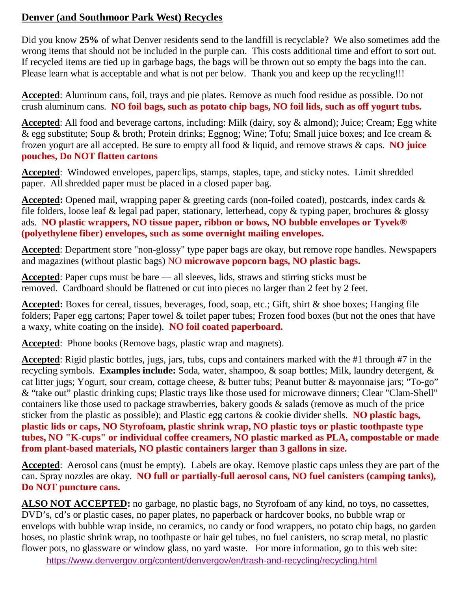#### **Denver (and Southmoor Park West) Recycles**

Did you know **25%** of what Denver residents send to the landfill is recyclable? We also sometimes add the wrong items that should not be included in the purple can. This costs additional time and effort to sort out. If recycled items are tied up in garbage bags, the bags will be thrown out so empty the bags into the can. Please learn what is acceptable and what is not per below. Thank you and keep up the recycling!!!

**Accepted**: Aluminum cans, foil, trays and pie plates. Remove as much food residue as possible. Do not crush aluminum cans. **NO foil bags, such as potato chip bags, NO foil lids, such as off yogurt tubs.**

**Accepted**: All food and beverage cartons, including: Milk (dairy, soy & almond); Juice; Cream; Egg white & egg substitute; Soup & broth; Protein drinks; Eggnog; Wine; Tofu; Small juice boxes; and Ice cream & frozen yogurt are all accepted. Be sure to empty all food & liquid, and remove straws & caps. **NO juice pouches, Do NOT flatten cartons**

**Accepted**: Windowed envelopes, paperclips, stamps, staples, tape, and sticky notes. Limit shredded paper. All shredded paper must be placed in a closed paper bag.

**Accepted:** Opened mail, wrapping paper & greeting cards (non-foiled coated), postcards, index cards & file folders, loose leaf & legal pad paper, stationary, letterhead, copy & typing paper, brochures & glossy ads. **NO plastic wrappers, NO tissue paper, ribbon or bows, NO bubble envelopes or Tyvek® (polyethylene fiber) envelopes, such as some overnight mailing envelopes.**

**Accepted**: Department store "non-glossy" type paper bags are okay, but remove rope handles. Newspapers and magazines (without plastic bags) NO **microwave popcorn bags, NO plastic bags.**

**Accepted**: Paper cups must be bare — all sleeves, lids, straws and stirring sticks must be removed. Cardboard should be flattened or cut into pieces no larger than 2 feet by 2 feet.

**Accepted:** Boxes for cereal, tissues, beverages, food, soap, etc.; Gift, shirt & shoe boxes; Hanging file folders; Paper egg cartons; Paper towel & toilet paper tubes; Frozen food boxes (but not the ones that have a waxy, white coating on the inside). **NO foil coated paperboard.**

**Accepted**: Phone books (Remove bags, plastic wrap and magnets).

**Accepted**: Rigid plastic bottles, jugs, jars, tubs, cups and containers marked with the #1 through #7 in the recycling symbols. **Examples include:** Soda, water, shampoo, & soap bottles; Milk, laundry detergent, & cat litter jugs; Yogurt, sour cream, cottage cheese, & butter tubs; Peanut butter & mayonnaise jars; "To-go" & "take out" plastic drinking cups; Plastic trays like those used for microwave dinners; Clear "Clam-Shell" containers like those used to package strawberries, bakery goods & salads (remove as much of the price sticker from the plastic as possible); and Plastic egg cartons & cookie divider shells. **NO plastic bags, plastic lids or caps, NO Styrofoam, plastic shrink wrap, NO plastic toys or plastic toothpaste type tubes, NO "K-cups" or individual coffee creamers, NO plastic marked as PLA, compostable or made from plant-based materials, NO plastic containers larger than 3 gallons in size.**

**Accepted**: Aerosol cans (must be empty). Labels are okay. Remove plastic caps unless they are part of the can. Spray nozzles are okay. **NO full or partially-full aerosol cans, NO fuel canisters (camping tanks), Do NOT puncture cans.**

**ALSO NOT ACCEPTED:** no garbage, no plastic bags, no Styrofoam of any kind, no toys, no cassettes, DVD's, cd's or plastic cases, no paper plates, no paperback or hardcover books, no bubble wrap or envelops with bubble wrap inside, no ceramics, no candy or food wrappers, no potato chip bags, no garden hoses, no plastic shrink wrap, no toothpaste or hair gel tubes, no fuel canisters, no scrap metal, no plastic flower pots, no glassware or window glass, no yard waste. For more information, go to this web site:

<https://www.denvergov.org/content/denvergov/en/trash-and-recycling/recycling.html>